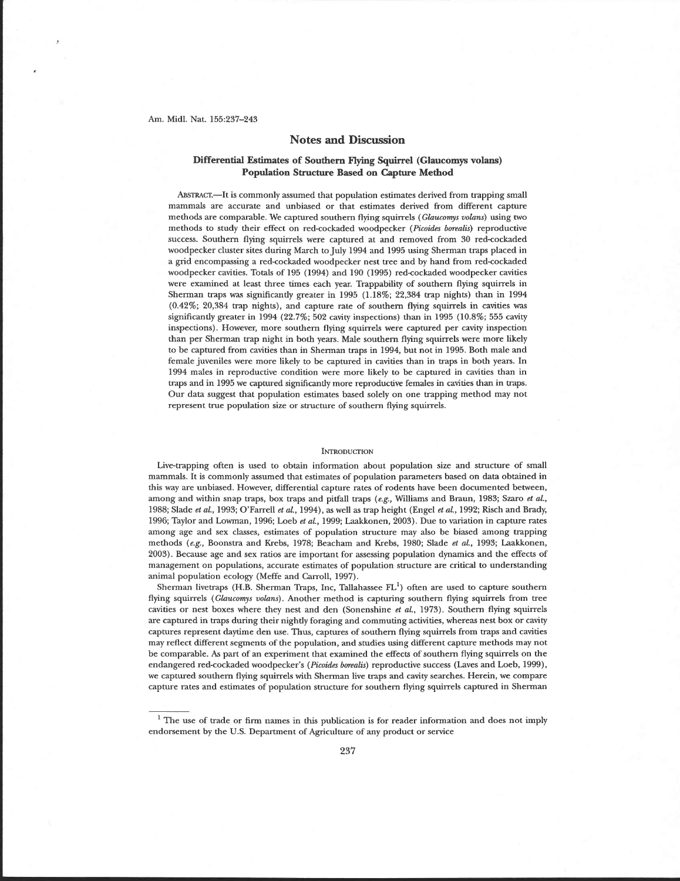#### Am. Midl. Nat. 155:237-243

# **Notes and Discussion**

## **Differential Estimates of Southern Flying Squirrel (Glaucomys volans) Population Structure Based on Capture Method**

ABSTRACT.-It is commonly assumed that population estimates derived from trapping small mammals are accurate and unbiased or that estimates derived from different capture methods are comparable. We captured southern flying squirrels (Glaucomys volans) using two methods to study their effect on red-cockaded woodpecker (Picoides borealis) reproductive success. Southern flying squirrels were captured at and removed from 30 red-cockaded woodpecker cluster sites during March to July 1994 and 1995 using Sherman traps placed in a grid encompassing a red-cockaded woodpecker nest tree and by hand from red-cockaded woodpecker cavities. Totals of 195 (1994) and 190 (1995) red-cockaded woodpecker cavities were examined at least three times each year. Trappability of southern flying squirrels in Sherman traps **was** significantly greater in 1995 (1.18%; 22,384 trap nights) than in 1994 (0.42%; 20,384 trap nights), and capture rate of southern flying squirrels in cavities **was**  significantly greater in 1994 (22.7%; 502 cavity inspections) than in 1995 (10.8%; 555 cavity inspections). However, more southern flying squirrels were captured per cavity inspection than per Sherman trap night in both years. Male southern flying squirrels were more likely to be captured from cavities than in Sherman traps in 1994, but not in 1995. Both male and female juveniles were more likely to be captured in cavities than in traps in both years. In 1994 males in reproductive condition were more likely to be captured in cavities than in traps and in 1995 we captured significantly more reproductive females in cavities than in traps. Our data suggest that population estimates based solely on one trapping method may not represent true population size or structure of southern flying squirrels.

### **INTRODUCTION**

Live-trapping often is used to obtain information about population size and structure of small mammals. It is commonly assumed that estimates of population parameters based on data obtained in this way are unbiased. However, differential capture rates of rodents have been documented between, among and within snap traps, box traps and pitfall traps (e.g., Williams and Braun, 1983; Szaro et *al.,*  1988; Slade et aL, 1993; O'Farrell *et* al., 1994), as well as trap height (Engel el al., 1992; Risch and Brady, 1996; Taylor and Lowman, 1996; Loeb *et al.,* 1999; Laakkonen, 2003). Due to variation in capture rates among age and sex classes, estimates of population structure may also be biased among trapping methods (e.g., Boonstra and Krebs, 1978; Beacham and Krebs, 1980; Slade et *al.,* 1993; Laakkonen, 2003). Because age and sex ratios are important for assessing population dynamics and the effects of management on populations, accurate estimates of population structure are critical to understanding animal population ecology (Meffe and Carroll, 1997).

Sherman livetraps (H.B. Sherman Traps, Inc, Tallahassee  $FL<sup>1</sup>$ ) often are used to capture southern flying squirrels (Glaucomys volans). Another method is capturing southern flying squirrels from tree cavities or nest boxes where they nest and den (Sonenshine **et** al., 1973). Southern flying squirrels are captured in traps during their nightly foraging and commuting activities, whereas nest box or cavity captures represent daytime den use. Thus, captures of southern flying squirrels from traps and cavities may reflect different segments of the population, and studies using different capture methods may not be comparable. As part of an experiment that examined the effects of southern flying squirrels on the endangered red-cockaded woodpecker's (Picoides borealis) reproductive success (Laves and Loeb, 1999), we captured southern flying squirrels with Sherman live traps and cavity searches. Herein, we compare capture rates and estimates of population structure for southern flying squirrels captured in Sherman

<sup>&</sup>lt;sup>1</sup> The use of trade or firm names in this publication is for reader information and does not imply endorsement by the U.S. Department of Agriculture of any product or service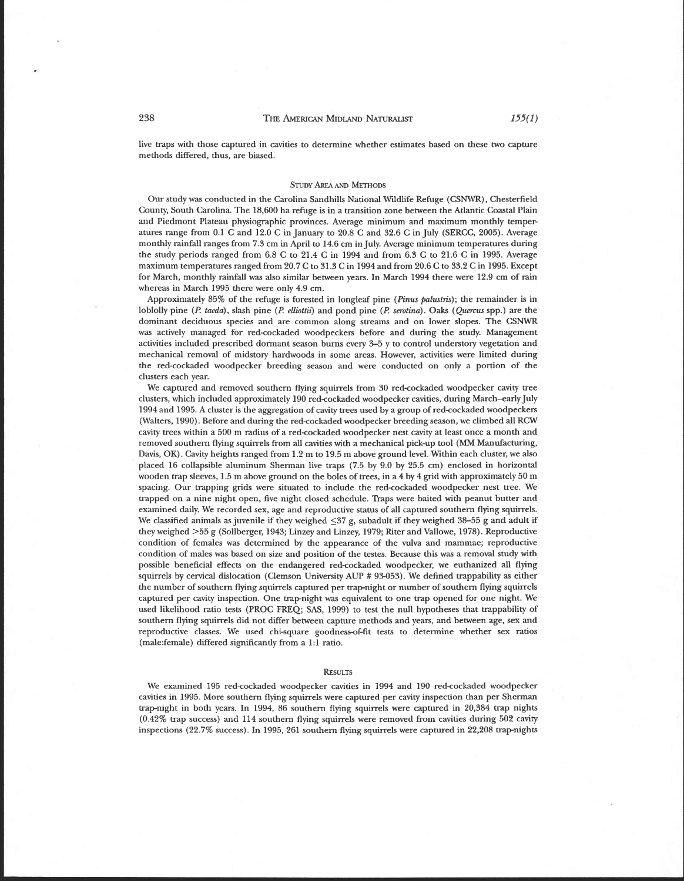live traps with those captured in cavities to determine whether estimates based on these two capture methods differed, thus, are biased.

#### **STUDY AREA AND METHODS**

Our study was conducted in the Carolina Sandhills National Wildlife Refuge (CSNWR), Chesterfield County, South Carolina. The 18,600 ha refuge is in a transition zone between the Atlantic Coastal Plain and Piedmont Plateau physiographic provinces. Average minimum and maximum monthly temperatures range from  $0.1$  C and  $12.0$  C in January to  $20.8$  C and  $32.6$  C in July (SERCC, 2005). Average monthly rainfall ranges from 7.3 cm in April to 14.6 cm in July. Average minimum temperatures during the study periods ranged from 6.8 C to 21.4 C in 1994 and from 6.3 C to 21.6 C in 1995. Average maximum temperatures ranged from 20.7 C to 31.3 C in 1994 and from 20.6 C to 33.2 C in 1995. Except for March, monthly rainfall was also similar between years. In March 1994 there were 12.9 cm of rain whereas in March 1995 there were only 4.9 cm.

Approximately 85% of the refuge is forested in longleaf pine (Pinus palustris); the remainder is in loblolly pine (P. taeda), slash pine (P. elliottii) and pond pine (P. serotina). Oaks (Quercus spp.) are the dominant deciduous species and are common along streams and on lower slopes. The CSNWR was actively managed for red-cockaded woodpeckers before and during the study. Management activities included prescribed dormant season burns every 3-5 y to control understory vegetation and mechanical removal of midstory hardwoods in some areas. However, activities were limited during the red-cockaded woodpecker breeding season and were conducted on only a portion of the clusters each year.

We captured and removed southern flying squirrels from 30 red-cockaded woodpecker cavity tree clusters, which included approximately 190 redcockaded woodpecker cavities, during March-early July 1994 and 1995. A cluster is the aggregation of cavity trees used by a group of red-cockaded woodpeckers (Walters, 1990). Before and during the red-cockaded woodpecker breeding season, we climbed all RCW cavity trees within a 500 m radius of a red-cockaded woodpecker nest cavity at least once a month and removed southern flying squirrels from all cavities with a mechanical pick-up tool (MM Manufacturing, Davis, OK). Cavity heights ranged from 1.2 m to 19.5 m above ground level. Within each cluster, we also placed 16 collapsible aluminum Sherman live traps (7.5 by 9.0 by 25.5 cm) enclosed in horizontal wooden trap sleeves, 1.5 m above ground on the boles of trees, in a 4 by 4 grid with approximately 50 m spacing. Our trapping grids were situated to include the red-cockaded woodpecker nest tree. We trapped on a nine night open, five night closed schedule. Traps were baited with peanut butter and examined daily. We recorded sex, age and reproductive status of all captured southern flying squirrels. We classified animals as juvenile if they weighed  $\leq$ 37 g, subadult if they weighed 38-55 g and adult if they weighed >55 g (Sollberger, 1943; Linzey and Linzey, 1979; Riter and Vallowe, 1978). Reproductive condition of females was determined by the appearance of the vulva and mammae; reproductive condition of males **was** based on size and position of the testes. Because this was a removal study with possible beneficial effects on the endangered red-cockaded woodpecker, we euthanized all flying squirrels by cervical dislocation (Clemson University AUP # 93-053). We defined trappability as either the number of southern flying squirrels captured per trapnight or number of southern flying squirrels captured per cavity inspection. One trap-night was equivalent to one trap opened for one night. We used likelihood ratio tests (PROC **FREQ; SAS,** 1999) to test the null hypotheses that trappability of southern flying squirrels did not differ between capture methods and years, and between age, sex and reproductive classes. We used chi-square goodness-of-fit tests to determine whether sex ratios (ma1e:female) differed significantly from a 1:l ratio.

#### **RESULTS**

We examined 195 red-cockaded woodpecker cavities in 1994 and 190 red-cockaded woodpecker cavities in 1995. More southern flying squirrels were captured per cavity inspection than per Sherman trap-night in both years. In 1994, 86 southern flying squirrels were captured in 20,384 trap nights (0.42% trap success) and 114 southern flying squirrels were removed from cavities during 502 cavity inspections (22.7% success). In 1995,261 southern flying squirrels were captured in 22,208 trapnights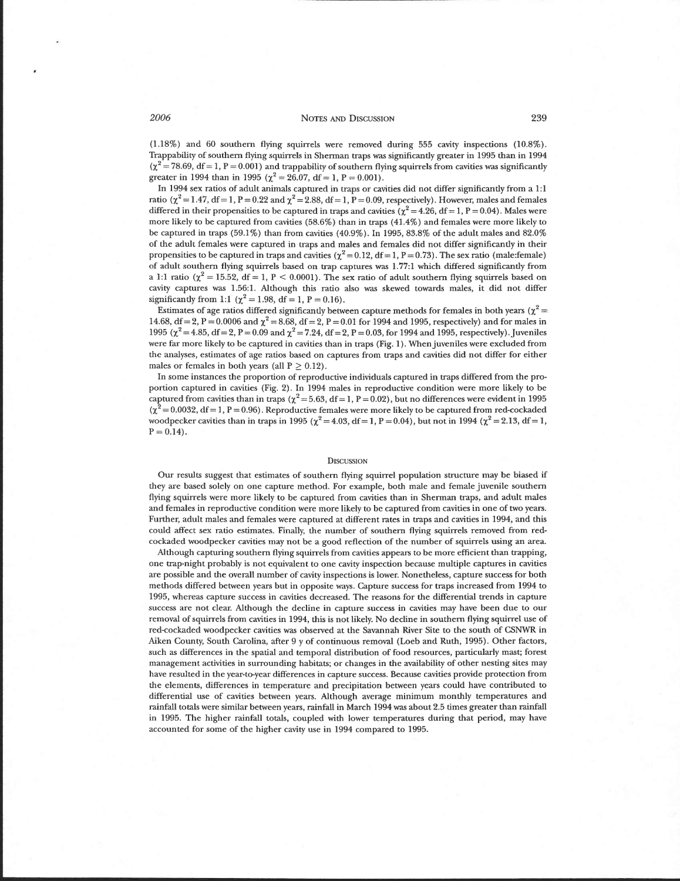(1.18%) and 60 southern flying squirrels were removed during 555 cavity inspections (10.8%). Trappability of southern flying squirrels in Sherman traps was significantly greater in 1995 than in 1994  $(\chi^2 = 78.69, df = 1, P = 0.001)$  and trappability of southern flying squirrels from cavities was significantly greater in 1994 than in 1995 ( $\chi^2 = 26.07$ , df = 1, P = 0.001).

In 1994 sex ratios of adult animals captured in traps or cavities did not differ significantly from a 1:l ratio ( $\chi^2$  = 1.47, df = 1, P = 0.22 and  $\chi^2$  = 2.88, df = 1, P = 0.09, respectively). However, males and females differed in their propensities to be captured in traps and cavities  $\chi^2 = 4.26$ , df = 1, P = 0.04). Males were more likely to be captured from cavities (58.6%) than in traps (41.4%) and females were more likely to be captured in traps (59.1%) than from cavities (40.9%). In 1995,83.8% of the adult males and 82.0% of the adult females were captured in traps and males and females did not differ significantly in their propensities to be captured in traps and cavities ( $\chi^2 = 0.12$ , df = 1, P = 0.73). The sex ratio (male:female) of adult southern flying squirrels based on trap captures **was** 1.77:l which differed significantly from a 1:1 ratio ( $\chi^2 = 15.52$ , df = 1, P < 0.0001). The sex ratio of adult southern flying squirrels based on cavity captures was 1.56:l. Although this ratio also was skewed towards males, it did not differ significantly from 1:1 ( $\chi^2 = 1.98$ , df = 1, P = 0.16).

Estimates of age ratios differed significantly between capture methods for females in both years ( $\chi^2$  = 14.68, df = 2, P = 0.0006 and  $\chi^2$  = 8.68, df = 2, P = 0.01 for 1994 and 1995, respectively) and for males in 1995 ( $\chi^2$  = 4.85, df = 2, P = 0.09 and  $\chi^2$  = 7.24, df = 2, P = 0.03, for 1994 and 1995, respectively). Juveniles were far more likely to be captured in cavities than in traps (Fig. 1). When juveniles were excluded from the analyses, estimates of age ratios based on captures from traps and cavities did not differ for either males or females in both years (all  $P \ge 0.12$ ).

In some instances the proportion of reproductive individuals captured in traps differed from the proportion captured in cavities (Fig. 2). In 1994 males in reproductive condition were more likely to be captured from cavities than in traps ( $\chi^2$  = 5.63, df = 1, P = 0.02), but no differences were evident in 1995  $(\chi^2 = 0.0032, df = 1, P = 0.96)$ . Reproductive females were more likely to be captured from red-cockaded woodpecker cavities than in traps in 1995 ( $\chi^2 = 4.03$ , df = 1, P = 0.04), but not in 1994 ( $\chi^2 = 2.13$ , df = 1,  $P = 0.14$ .

#### DISCUSSION

Our results suggest that estimates of southern flying squirrel population structure may be biased if they are based solely on one capture method. For example, both male and female juvenile southern flying squirrels were more likely to be captured from cavities than in Sherman traps, and adult males and females in reproductive condition were more likely to be captured from cavities in one of two years. Further, adult males and females were captured at different rates in traps and cavities in 1994, and this could affect sex ratio estimates. Finally, the number of southern flying squirrels removed from redcockaded woodpecker cavities may not be a good reflection of the number of squirrels using an area.

Although capturing southern flying squirrels from cavities appears to be more efficient than trapping, one trap-night probably is not equivalent to one cavity inspection because multiple captures in cavities are possible and the overall number of cavity inspections is lower. Nonetheless, capture success for both methods differed between years but in opposite ways. Capture success for traps increased from 1994 to 1995, whereas capture success in cavities decreased. The reasons for the differential trends in capture success are not clear. Although the decline in capture success in cavities may have been due to our removal of squirrels from cavities in 1994, this is not likely. No decline in southern flying squirrel use of red-cockaded woodpecker cavities was observed at the Savannah River Site to the south of **CSNWR** in Aiken County, South Carolina, after 9 y of continuous removal (Loeb and Ruth, 1995). Other factors, such as differences in the spatial and temporal distribution of food resources, particularly mast; forest management activities in surrounding habitats; or changes in the availability of other nesting sites may have resulted in the year-to-year differences in capture success. Because cavities provide protection from the elements, differences in temperature and precipitation between years could have contributed to differential use of cavities between years. Although average minimum monthly temperatures and rainfall totals were similar between years, rainfall in March 1994 was about 2.5 times greater than rainfall in 1995. The higher rainfall totals, coupled with lower temperatures during that period, may have accounted for some of the higher cavity use in 1994 compared to 1995.

2006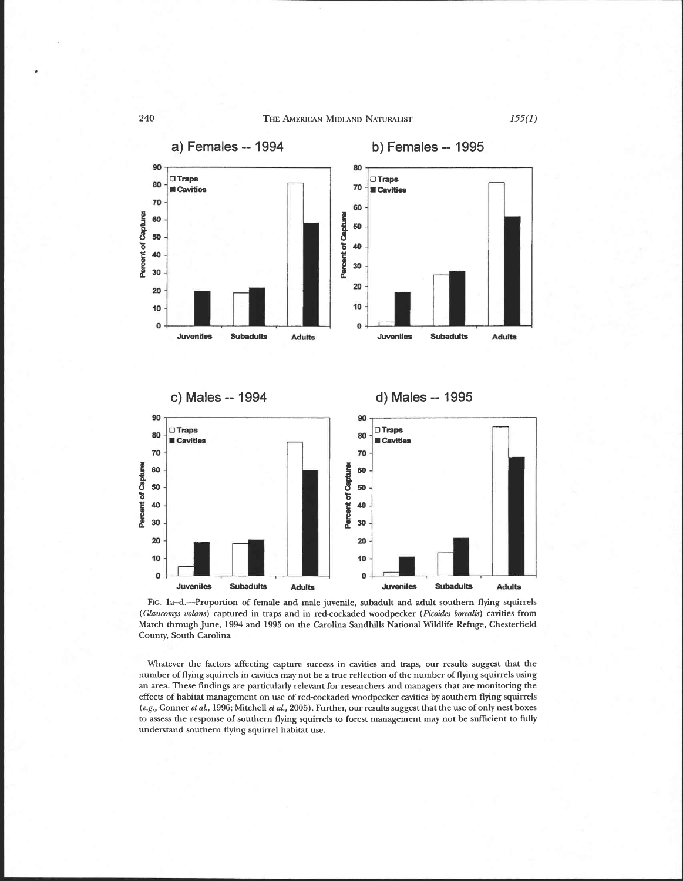THE AMERICAN MIDLAND NATURALIST



FIG. la-d.-Proportion of female and male juvenile, subadult and adult southern flying squirrels *(Glaucomys voluns)* captured in traps and in red-cockaded woodpecker *(Picoides borealis)* cavities from March through June, 1994 and 1995 on the Carolina Sandhills National Wildlife Refuge, Chesterfield County, South Carolina

Whatever the factors affecting capture success in cavities and traps, our results suggest that the number of flying squirrels in cavities may not be a true reflection of the number of flying squirrels using an area. These findings are particularly relevant for researchers and managers that are monitoring the effects of habitat management on use of red-cockaded woodpecker cavities by southern flying squirrels *(e.g.,* Conner *et ul.,* 1996; Mitchell *et al.,* 2005). Further, our results suggest that the use of only nest boxes to assess the response of southern flying squirrels to forest management may not be sufficient to fully understand southern flying squirrel habitat use.

240

 $155(1)$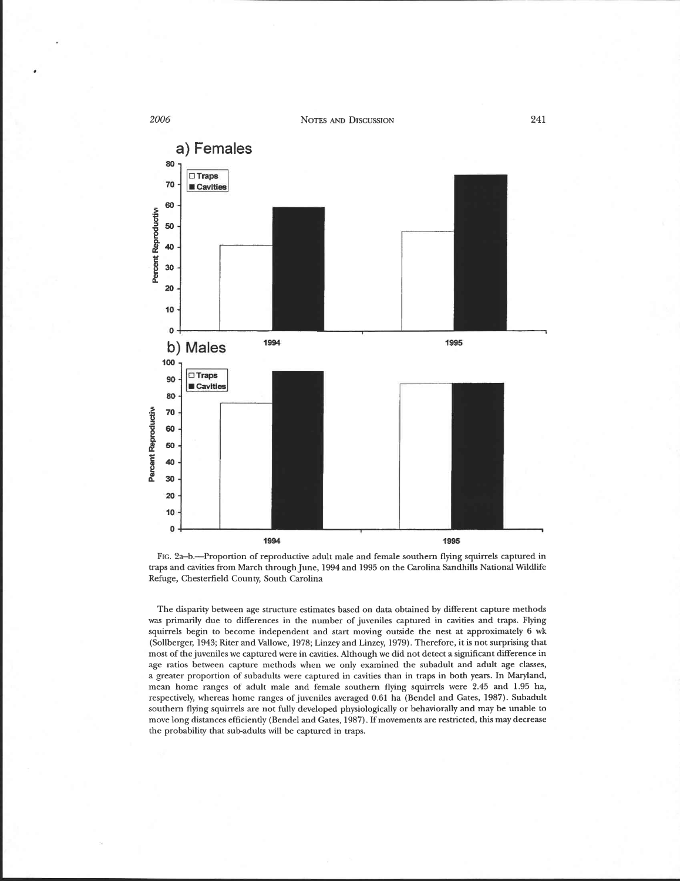

FIG. 2a-b.-Proportion of reproductive adult male and female southern flying squirrels captured in traps and cavities from March through June, 1994 and 1995 on the Carolina Sandhills National Wildlife Refuge, Chesterfield County, South Carolina

The disparity between age structure estimates based on data obtained by different capture methods **was** primarily due to differences in the number of juveniles captured in cavities and traps. Flying squirrels begin to become independent and start moving outside the nest at approximately 6 wk (Sollberger, 1943; Riter and Vallowe, 1978; Linzey and Linzey, 1979). Therefore, it is not surprising that most of the juveniles we captured were in cavities. Although we did not detect a significant difference in age ratios between capture methods when we only examined the subadult and adult age classes, a greater proportion of subadults were captured in cavities than in traps in both years. In Maryland, mean home ranges of adult male and female southern flying squirrels were 2.45 and 1.95 ha, respectively, whereas home ranges of juveniles averaged 0.61 ha (Bendel and Gates, 1987). Subadult southern flying squirrels are not fully developed physiologically or behaviorally and may be unable to move long distances efficiently (Bendel and Gates, 1987). If movements are restricted, this may decrease the probability that sub-adults will be captured in traps.